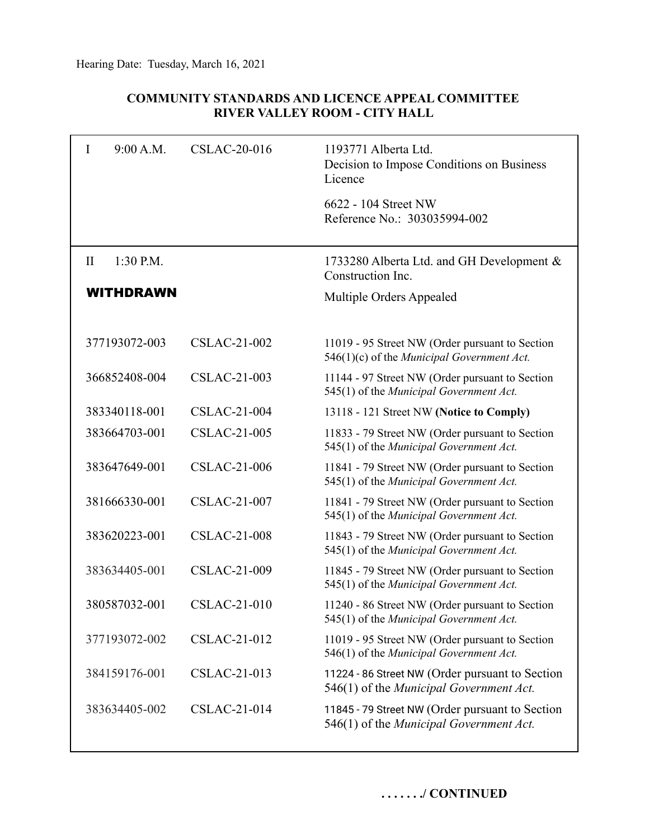## **COMMUNITY STANDARDS AND LICENCE APPEAL COMMITTEE RIVER VALLEY ROOM - CITY HALL**

| I<br>9:00 A.M.              | <b>CSLAC-20-016</b> | 1193771 Alberta Ltd.<br>Decision to Impose Conditions on Business<br>Licence                  |
|-----------------------------|---------------------|-----------------------------------------------------------------------------------------------|
|                             |                     | 6622 - 104 Street NW<br>Reference No.: 303035994-002                                          |
| $\mathbf{I}$<br>$1:30$ P.M. |                     | 1733280 Alberta Ltd. and GH Development &<br>Construction Inc.                                |
| <b>WITHDRAWN</b>            |                     | Multiple Orders Appealed                                                                      |
| 377193072-003               | <b>CSLAC-21-002</b> | 11019 - 95 Street NW (Order pursuant to Section<br>546(1)(c) of the Municipal Government Act. |
| 366852408-004               | <b>CSLAC-21-003</b> | 11144 - 97 Street NW (Order pursuant to Section<br>545(1) of the Municipal Government Act.    |
| 383340118-001               | <b>CSLAC-21-004</b> | 13118 - 121 Street NW (Notice to Comply)                                                      |
| 383664703-001               | <b>CSLAC-21-005</b> | 11833 - 79 Street NW (Order pursuant to Section<br>545(1) of the Municipal Government Act.    |
| 383647649-001               | <b>CSLAC-21-006</b> | 11841 - 79 Street NW (Order pursuant to Section<br>545(1) of the Municipal Government Act.    |
| 381666330-001               | <b>CSLAC-21-007</b> | 11841 - 79 Street NW (Order pursuant to Section<br>545(1) of the Municipal Government Act.    |
| 383620223-001               | <b>CSLAC-21-008</b> | 11843 - 79 Street NW (Order pursuant to Section<br>545(1) of the Municipal Government Act.    |
| 383634405-001               | <b>CSLAC-21-009</b> | 11845 - 79 Street NW (Order pursuant to Section<br>545(1) of the Municipal Government Act.    |
| 380587032-001               | <b>CSLAC-21-010</b> | 11240 - 86 Street NW (Order pursuant to Section<br>545(1) of the Municipal Government Act.    |
| 377193072-002               | CSLAC-21-012        | 11019 - 95 Street NW (Order pursuant to Section<br>546(1) of the Municipal Government Act.    |
| 384159176-001               | CSLAC-21-013        | 11224 - 86 Street NW (Order pursuant to Section<br>546(1) of the Municipal Government Act.    |
| 383634405-002               | CSLAC-21-014        | 11845 - 79 Street NW (Order pursuant to Section<br>546(1) of the Municipal Government Act.    |